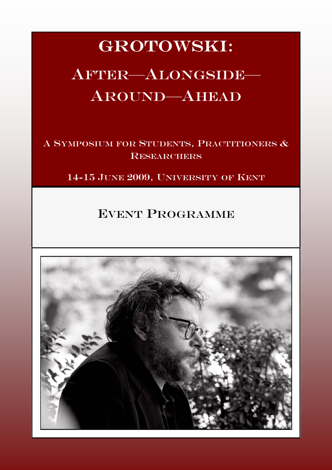# GROTOWSKI:

# AFTER-ALONGSIDE-AROUND—AHEAD

A SYMPOSIUM FOR STUDENTS, PRACTITIONERS & **RESEARCHERS** 

14-15 JUNE 2009, UNIVERSITY OF KENT

# EVENT PROGRAMME

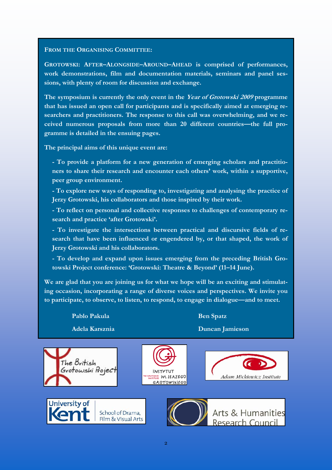#### FROM THE ORGANISING COMMITTEE:

GROTOWSKI: AFTER–ALONGSIDE–AROUND–AHEAD is comprised of performances, work demonstrations, film and documentation materials, seminars and panel sessions, with plenty of room for discussion and exchange.

The symposium is currently the only event in the Year of Grotowski 2009 programme that has issued an open call for participants and is specifically aimed at emerging researchers and practitioners. The response to this call was overwhelming, and we received numerous proposals from more than 20 different countries—the full programme is detailed in the ensuing pages.

The principal aims of this unique event are:

- To provide a platform for a new generation of emerging scholars and practitioners to share their research and encounter each others' work, within a supportive, peer group environment.

- To explore new ways of responding to, investigating and analysing the practice of Jerzy Grotowski, his collaborators and those inspired by their work.

- To reflect on personal and collective responses to challenges of contemporary research and practice 'after Grotowski'.

- To investigate the intersections between practical and discursive fields of research that have been influenced or engendered by, or that shaped, the work of Jerzy Grotowski and his collaborators.

- To develop and expand upon issues emerging from the preceding British Grotowski Project conference: 'Grotowski: Theatre & Beyond' (11–14 June).

We are glad that you are joining us for what we hope will be an exciting and stimulating occasion, incorporating a range of diverse voices and perspectives. We invite you to participate, to observe, to listen, to respond, to engage in dialogue—and to meet.

Pablo Pakula Ben Spatz

Adela Karsznia Duncan Jamieson

The British

Grotowski Projec









Arts & Humanities Research Council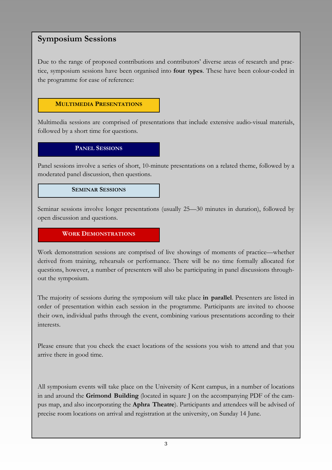## Symposium Sessions

Due to the range of proposed contributions and contributors' diverse areas of research and practice, symposium sessions have been organised into four types. These have been colour-coded in the programme for ease of reference:



Multimedia sessions are comprised of presentations that include extensive audio-visual materials, followed by a short time for questions.

PANEL SESSIONS

Panel sessions involve a series of short, 10-minute presentations on a related theme, followed by a moderated panel discussion, then questions.

#### SEMINAR SESSIONS

Seminar sessions involve longer presentations (usually 25—30 minutes in duration), followed by open discussion and questions.

#### WORK DEMONSTRATIONS

Work demonstration sessions are comprised of live showings of moments of practice—whether derived from training, rehearsals or performance. There will be no time formally allocated for questions, however, a number of presenters will also be participating in panel discussions throughout the symposium.

The majority of sessions during the symposium will take place in parallel. Presenters are listed in order of presentation within each session in the programme. Participants are invited to choose their own, individual paths through the event, combining various presentations according to their interests.

Please ensure that you check the exact locations of the sessions you wish to attend and that you arrive there in good time.

All symposium events will take place on the University of Kent campus, in a number of locations in and around the Grimond Building (located in square J on the accompanying PDF of the campus map, and also incorporating the Aphra Theatre). Participants and attendees will be advised of precise room locations on arrival and registration at the university, on Sunday 14 June.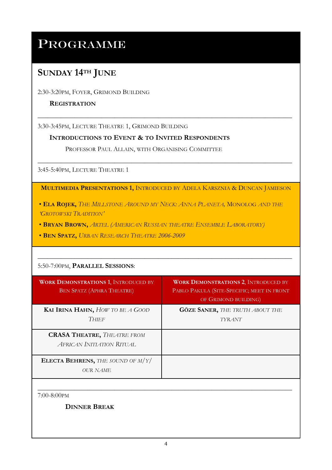# PROGRAMME

# SUNDAY 14<sup>TH</sup> JUNE

2:30-3:20PM, FOYER, GRIMOND BUILDING

#### **REGISTRATION**

3:30-3:45PM, LECTURE THEATRE 1, GRIMOND BUILDING

#### INTRODUCTIONS TO EVENT & TO INVITED RESPONDENTS

PROFESSOR PAUL ALLAIN, WITH ORGANISING COMMITTEE

3:45-5:40PM, LECTURE THEATRE 1

MULTIMEDIA PRESENTATIONS 1, INTRODUCED BY ADELA KARSZNIA & DUNCAN JAMIESON

\_\_\_\_\_\_\_\_\_\_\_\_\_\_\_\_\_\_\_\_\_\_\_\_\_\_\_\_\_\_\_\_\_\_\_\_\_\_\_\_\_\_\_\_\_\_\_\_\_\_\_\_\_\_\_\_\_\_\_\_\_\_\_\_\_\_\_\_\_\_\_\_\_\_\_\_

\_\_\_\_\_\_\_\_\_\_\_\_\_\_\_\_\_\_\_\_\_\_\_\_\_\_\_\_\_\_\_\_\_\_\_\_\_\_\_\_\_\_\_\_\_\_\_\_\_\_\_\_\_\_\_\_\_\_\_\_\_\_\_\_\_\_\_\_\_\_\_\_\_\_\_\_

• ELA ROJEK, THE MILLSTONE AROUND MY NECK: ANNA PLANETA, MONOLOG AND THE 'GROTOWSKI TRADITION'

\_\_\_\_\_\_\_\_\_\_\_\_\_\_\_\_\_\_\_\_\_\_\_\_\_\_\_\_\_\_\_\_\_\_\_\_\_\_\_\_\_\_\_\_\_\_\_\_\_\_\_\_\_\_\_\_\_\_\_\_\_\_\_\_\_\_\_\_\_\_\_\_\_\_\_\_

- BRYAN BROWN, ARTEL (AMERICAN RUSSIAN THEATRE ENSEMBLE LABORATORY)
- BEN SPATZ, URBAN RESEARCH THEATRE 2006-2009

5:50-7:00PM, PARALLEL SESSIONS:

| <b>WORK DEMONSTRATIONS 1, INTRODUCED BY</b><br><b>BEN SPATZ (APHRA THEATRE)</b> | <b>WORK DEMONSTRATIONS 2, INTRODUCED BY</b><br>PABLO PAKULA (SITE-SPECIFIC; MEET IN FRONT<br>OF GRIMOND BUILDING) |
|---------------------------------------------------------------------------------|-------------------------------------------------------------------------------------------------------------------|
| KAI IRINA HAHN, HOW TO BE A GOOD<br><b>THIEF</b>                                | <b>GÖZE SANER, THE TRUTH ABOUT THE</b><br><b>TYRANT</b>                                                           |
| <b>CRASA THEATRE, THEATRE FROM</b><br><b>AFRICAN INITIATION RITUAL</b>          |                                                                                                                   |
| <b>ELECTA BEHRENS, THE SOUND OF M/Y/</b><br>OUR NAME                            |                                                                                                                   |

7:00-8:00PM

DINNER BREAK

\_\_\_\_\_\_\_\_\_\_\_\_\_\_\_\_\_\_\_\_\_\_\_\_\_\_\_\_\_\_\_\_\_\_\_\_\_\_\_\_\_\_\_\_\_\_\_\_\_\_\_\_\_\_\_\_\_\_\_\_\_\_\_\_\_\_\_\_\_\_\_\_\_\_\_\_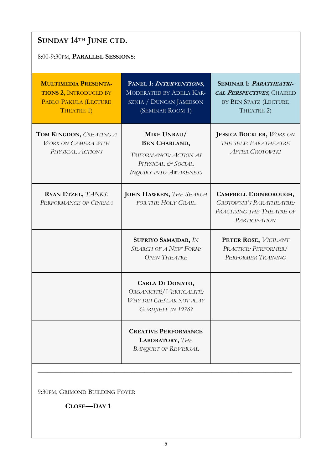# SUNDAY 14TH JUNE CTD.

### 8:00-9:30PM, PARALLEL SESSIONS:

| <b>MULTIMEDIA PRESENTA-</b><br><b>TIONS 2, INTRODUCED BY</b><br>PABLO PAKULA (LECTURE<br>THEATRE 1) | PANEL 1: INTERVENTIONS,<br>MODERATED BY ADELA KAR-<br>SZNIA / DUNCAN JAMIESON<br>(SEMINAR ROOM 1)                   | <b>SEMINAR 1: PARATHEATRI-</b><br>CAL PERSPECTIVES, CHAIRED<br>BY BEN SPATZ (LECTURE<br>THEATRE 2)            |
|-----------------------------------------------------------------------------------------------------|---------------------------------------------------------------------------------------------------------------------|---------------------------------------------------------------------------------------------------------------|
| TOM KINGDON, CREATING A<br><b>WORK ON CAMERA WITH</b><br>PHYSICAL ACTIONS                           | MIKE UNRAU/<br><b>BEN CHARLAND,</b><br>TRIFORMANCE: ACTION AS<br>PHYSICAL & SOCIAL<br><b>INQUIRY INTO AWARENESS</b> | <b>JESSICA BOCKLER, WORK ON</b><br>THE SELF: PARATHEATRE<br><b>AFTER GROTOWSKI</b>                            |
| RYAN ETZEL, TANKS:<br>PERFORMANCE OF CINEMA                                                         | <b>JOHN HAWKEN, THE SEARCH</b><br>FOR THE HOLY GRAIL                                                                | CAMPBELL EDINBOROUGH,<br><b>GROTOWSKI'S PARATHEATRE:</b><br>PRACTISING THE THEATRE OF<br><b>PARTICIPATION</b> |
|                                                                                                     | SUPRIYO SAMAJDAR, IN<br><b>SEARCH OF A NEW FORM:</b><br><b>OPEN THEATRE</b>                                         | PETER ROSE, VIGILANT<br>PRACTICE: PERFORMER/<br>PERFORMER TRAINING                                            |
|                                                                                                     | CARLA DI DONATO,<br>ORGANICITÉ / VERTICALITÉ:<br><b>WHY DID CIEŚLAK NOT PLAY</b><br><b>GURDJIEFF IN 1976?</b>       |                                                                                                               |
|                                                                                                     | <b>CREATIVE PERFORMANCE</b><br><b>LABORATORY, THE</b><br><b>BANQUET OF REVERSAL</b>                                 |                                                                                                               |
|                                                                                                     |                                                                                                                     |                                                                                                               |

9:30PM, GRIMOND BUILDING FOYER

CLOSE—DAY 1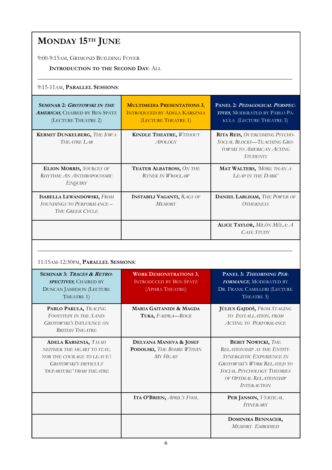# MONDAY 15TH JUNE

9:00-9:15AM, GRIMOND BUILDING FOYER

#### INTRODUCTION TO THE SECOND DAY: ALL

9:15-11AM, PARALLEL SESSIONS:

| <b>SEMINAR 2: GROTOWSKI IN THE</b><br><b>AMERICAS, CHAIRED BY BEN SPATZ</b><br>(LECTURE THEATRE 2) | <b>MULTIMEDIA PRESENTATIONS 3,</b><br><b>INTRODUCED BY ADELA KARSZNIA</b><br>(LECTURE THEATRE 1) | <b>PANEL 2: PEDAGOGICAL PERSPEC-</b><br><b>TIVES, MODERATED BY PABLO PA-</b><br>KULA (LECTURE THEATRE 3)     |
|----------------------------------------------------------------------------------------------------|--------------------------------------------------------------------------------------------------|--------------------------------------------------------------------------------------------------------------|
| <b>KERMIT DUNKELBERG, THE IOWA</b><br>THEATRE LAB                                                  | <b>KINDLE THEATRE, WITHOUT</b><br>$A$ POLOGY                                                     | RITA REIS, OVERCOMING PSYCHO-<br>SOCIAL BLOCKS—TEACHING GRO-<br>TOWSKI TO AMERICAN ACTING<br><b>STUDENTS</b> |
| <b>ELION MORRIS, SOURCES OF</b><br>RHYTHM: AN ANTHROPOCOSMIC<br>ENQUIRY                            | <b>TEATER ALBATROSS, ON THE</b><br>RYNEK IN WROCŁAW                                              | MAT WALTERS, MORE THAN A<br>LEAP IN THE DARK'                                                                |
| <b>ISABELLA LEWANDOWSKI, FROM</b><br>SOUNDINGS TO PERFORMANCE -<br><b>THE GREEK CYCLE</b>          | <b>INSTABILI VAGANTI, RAGS OF</b><br><b>MEMORY</b>                                               | DANIEL LARLHAM, THE POWER OF<br><b>OTHERNESS</b>                                                             |
|                                                                                                    |                                                                                                  | <b>ALICE TAYLOR, MILÓN MÉLA: A</b><br><b>CASE STUDY</b>                                                      |

\_\_\_\_\_\_\_\_\_\_\_\_\_\_\_\_\_\_\_\_\_\_\_\_\_\_\_\_\_\_\_\_\_\_\_\_\_\_\_\_\_\_\_\_\_\_\_\_\_\_\_\_\_\_\_\_\_\_\_\_\_\_\_\_\_\_\_\_\_\_\_\_\_\_\_\_\_\_\_\_\_\_\_

\_\_\_\_\_\_\_\_\_\_\_\_\_\_\_\_\_\_\_\_\_\_\_\_\_\_\_\_\_\_\_\_\_\_\_\_\_\_\_\_\_\_\_\_\_\_\_\_\_\_\_\_\_\_\_\_\_\_\_\_\_\_\_\_\_\_\_\_\_\_\_\_\_\_\_\_\_\_\_\_\_\_\_

| 11:15AM-12:30PM, PARALLEL SESSIONS: |
|-------------------------------------|
|-------------------------------------|

| <b>SEMINAR 3: TRACES &amp; RETRO-</b><br><b>SPECTIVES, CHAIRED BY</b><br><b>DUNCAN JAMIESON (LECTURE</b><br>THEATRE 1)                              | <b>WORK DEMONSTRATIONS 3,</b><br><b>INTRODUCED BY BEN SPATZ</b><br>(APHRA THEATRE) | PANEL 3: THEORISING PER-<br>FORMANCE, MODERATED BY<br>DR. FRANK CAMILLERI (LECTURE<br>THEATRE 3)                                                                                                                         |
|-----------------------------------------------------------------------------------------------------------------------------------------------------|------------------------------------------------------------------------------------|--------------------------------------------------------------------------------------------------------------------------------------------------------------------------------------------------------------------------|
| PABLO PAKULA, TRACING<br>FOOTSTEPS IN THE SAND:<br><b>GROTOWSKI'S INFLUENCE ON</b><br><b>BRITISH THEATRE</b>                                        | <b>MARIA GAITANIDI &amp; MAGDA</b><br>TUKA, FAIDRA-ROCK                            | JÚLIUS GAJDOŠ, FROM STAGING<br>TO INSTALLATION, FROM<br><b>ACTING TO PERFORMANCE</b>                                                                                                                                     |
| <b>ADELA KARSZNIA, THAD</b><br>NEITHER THE HEART TO STAY,<br>NOR THE COURAGE TO LEAVE':<br><b>GROTOWSKI'S DIFFICULT</b><br>'DEPARTURE' FROM THEATRE | DELYANA MANEVA & JOSEF<br>PODOLSKI, THE BOMBS WITHIN<br>MY HEAD                    | <b>BERIT NOWICKI, THE</b><br><b>RELATIONSHIP AS THE ENTITY-</b><br><b>SYNERGISTIC EXPERIENCE IN</b><br><b>GROTOWSKI'S WORK RELATED TO</b><br>SOCIAL PSYCHOLOGY THEORIES<br>OF OPTIMAL RELATIONSHIP<br><b>INTERACTION</b> |
|                                                                                                                                                     | <b>ITA O'BRIEN, APRIL'S FOOL</b>                                                   | PER JANSON, VERTICAL<br><b>ITINERARY</b>                                                                                                                                                                                 |
|                                                                                                                                                     |                                                                                    | <b>DOMINIKA BENNACER,</b><br><b>MEMORY EMBODIED</b>                                                                                                                                                                      |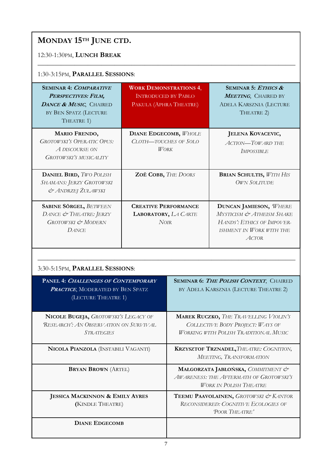# MONDAY 15TH JUNE CTD.

### 12:30-1:30PM, LUNCH BREAK

### 1:30-3:15PM, PARALLEL SESSIONS:

| <b>SEMINAR 4: COMPARATIVE</b><br>PERSPECTIVES: FILM,<br>DANCE & MUSIC, CHAIRED<br>BY BEN SPATZ (LECTURE<br>THEATRE 1) | <b>WORK DEMONSTRATIONS 4,</b><br><b>INTRODUCED BY PABLO</b><br>PAKULA (APHRA THEATRE) |                                                                                                                                  | SEMINAR 5: ETHICS &<br>MEETING, CHAIRED BY<br>ADELA KARSZNIA (LECTURE<br>THEATRE 2)                                           |
|-----------------------------------------------------------------------------------------------------------------------|---------------------------------------------------------------------------------------|----------------------------------------------------------------------------------------------------------------------------------|-------------------------------------------------------------------------------------------------------------------------------|
| MARIO FRENDO,<br><b>GROTOWSKI'S OPERATIC OPUS:</b><br>A DISCOURSE ON<br>GROTOWSKI'S MUSICALITY                        | <b>DIANE EDGECOMB, WHOLE</b><br>CLOTH-TOUCHES OF SOLO<br><b>WORK</b>                  |                                                                                                                                  | <b>JELENA KOVACEVIC,</b><br><b>ACTION-TOWARD THE</b><br><b>IMPOSSIBLE</b>                                                     |
| DANIEL BIRD, TWO POLISH<br>SHAMANS: JERZY GROTOWSKI<br>& ANDRZEJ ŻUŁAWSKI                                             | ZOË COBB, THE DOORS                                                                   |                                                                                                                                  | <b>BRIAN SCHULTIS, WITH HIS</b><br><b>OWN SOLITUDE</b>                                                                        |
| <b>SABINE SÖRGEL, BETWEEN</b><br>DANCE & THEATRE: JERZY<br>GROTOWSKI & MODERN<br><b>DANCE</b>                         | <b>CREATIVE PERFORMANCE</b><br>LABORATORY, LA CARTE<br><b>NOIR</b>                    |                                                                                                                                  | <b>DUNCAN JAMIESON, WHERE</b><br>MYSTICISM & ATHEISM SHAKE<br>HANDS': ETHICS OF IMPOVER-<br>ISHMENT IN WORK WITH THE<br>ACTOR |
| 3:30-5:15PM, PARALLEL SESSIONS:<br>PANEL 4: CHALLENGES OF CONTEMPORARY<br>SEMINAR 6: THE POLISH CONTEXT, CHAIRED      |                                                                                       |                                                                                                                                  |                                                                                                                               |
| <b>PRACTICE, MODERATED BY BEN SPATZ</b><br>(LECTURE THEATRE 1)                                                        |                                                                                       |                                                                                                                                  | BY ADELA KARSZNIA (LECTURE THEATRE 2)                                                                                         |
| NICOLE BUGEJA, GROTOWSKI'S LEGACY OF<br><b>RESEARCH': AN OBSERVATION ON SURVIVAL</b><br><b>STRATEGIES</b>             |                                                                                       | <b>MAREK RUCZKO, THE TRAVELLING VIOLIN'S</b><br>COLLECTIVE BODY PROJECT: WAYS OF<br><b>WORKING WITH POLISH TRADITIONAL MUSIC</b> |                                                                                                                               |
| NICOLA PIANZOLA (INSTABILI VAGANTI)                                                                                   |                                                                                       | KRZYSZTOF TRZNADEL, THEATRE: COGNITION,<br>MEETING, TRANSFORMATION                                                               |                                                                                                                               |
| <b>BRYAN BROWN (ARTEL)</b>                                                                                            |                                                                                       | MAŁGORZATA JABŁOŃSKA, COMMITMENT &<br>AWARENESS: THE AFTERMATH OF GROTOWSKI'S<br><b>WORK IN POLISH THEATRE</b>                   |                                                                                                                               |
| <b>JESSICA MACKINNON &amp; EMILY AYRES</b><br>(KINDLE THEATRE)                                                        |                                                                                       |                                                                                                                                  | TEEMU PAAVOLAINEN, GROTOWSKI & KANTOR<br>RECONSIDERED: COGNITIVE ECOLOGIES OF<br>POOR THEATRE'                                |

\_\_\_\_\_\_\_\_\_\_\_\_\_\_\_\_\_\_\_\_\_\_\_\_\_\_\_\_\_\_\_\_\_\_\_\_\_\_\_\_\_\_\_\_\_\_\_\_\_\_\_\_\_\_\_\_\_\_\_\_\_\_\_\_\_\_\_\_\_\_\_\_\_\_\_\_\_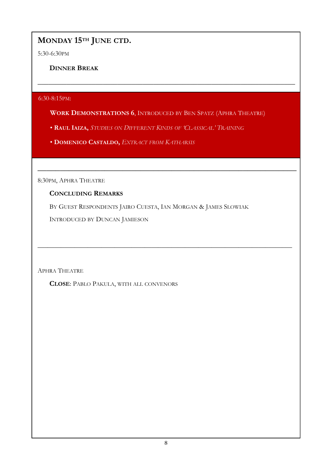# MONDAY 15TH JUNE CTD.

5:30-6:30PM

DINNER BREAK

6:30-8:15PM:

WORK DEMONSTRATIONS 6, INTRODUCED BY BEN SPATZ (APHRA THEATRE)

 $\overline{\phantom{a}}$  , and the contract of the contract of the contract of the contract of the contract of the contract of the contract of the contract of the contract of the contract of the contract of the contract of the contrac

\_\_\_\_\_\_\_\_\_\_\_\_\_\_\_\_\_\_\_\_\_\_\_\_\_\_\_\_\_\_\_\_\_\_\_\_\_\_\_\_\_\_\_\_\_\_\_\_\_\_\_\_\_\_\_\_\_\_

\_\_\_\_\_\_\_\_\_\_\_\_\_\_\_\_\_\_\_\_\_\_\_\_\_\_\_\_\_\_\_\_\_\_\_\_\_\_\_\_\_\_\_\_\_\_\_\_\_\_\_\_\_\_\_\_\_\_\_\_\_\_\_\_\_\_\_\_\_\_\_\_\_\_\_\_

- RAUL IAIZA, STUDIES ON DIFFERENT KINDS OF 'CLASSICAL' TRAINING
- DOMENICO CASTALDO, EXTRACT FROM KATHARSIS

8:30PM, APHRA THEATRE

### CONCLUDING REMARKS

BY GUEST RESPONDENTS JAIRO CUESTA, IAN MORGAN & JAMES SLOWIAK

INTRODUCED BY DUNCAN JAMIESON

APHRA THEATRE

CLOSE: PABLO PAKULA, WITH ALL CONVENORS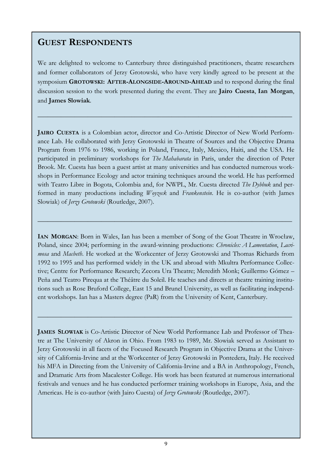# GUEST RESPONDENTS

We are delighted to welcome to Canterbury three distinguished practitioners, theatre researchers and former collaborators of Jerzy Grotowski, who have very kindly agreed to be present at the symposium GROTOWSKI: AFTER-ALONGSIDE-AROUND-AHEAD and to respond during the final discussion session to the work presented during the event. They are Jairo Cuesta, Ian Morgan, and James Slowiak.

\_\_\_\_\_\_\_\_\_\_\_\_\_\_\_\_\_\_\_\_\_\_\_\_\_\_\_\_\_\_\_\_\_\_\_\_\_\_\_\_\_\_\_\_\_\_\_\_\_\_\_\_\_\_\_\_\_\_\_\_\_\_\_\_\_\_\_\_\_\_\_\_\_\_\_\_

JAIRO CUESTA is a Colombian actor, director and Co-Artistic Director of New World Performance Lab. He collaborated with Jerzy Grotowski in Theatre of Sources and the Objective Drama Program from 1976 to 1986, working in Poland, France, Italy, Mexico, Haiti, and the USA. He participated in preliminary workshops for The Mahabarata in Paris, under the direction of Peter Brook. Mr. Cuesta has been a guest artist at many universities and has conducted numerous workshops in Performance Ecology and actor training techniques around the world. He has performed with Teatro Libre in Bogota, Colombia and, for NWPL, Mr. Cuesta directed The Dybbuk and performed in many productions including *Woyzeck* and Frankenstein. He is co-author (with James Slowiak) of Jerzy Grotowski (Routledge, 2007).

IAN MORGAN: Born in Wales, Ian has been a member of Song of the Goat Theatre in Wrocław, Poland, since 2004; performing in the award-winning productions: Chronicles: A Lamentation, Lacrimosa and Macbeth. He worked at the Workcenter of Jerzy Grotowski and Thomas Richards from 1992 to 1995 and has performed widely in the UK and abroad with Mkultra Performance Collective; Centre for Performance Research; Zecora Ura Theatre; Meredith Monk; Guillermo Gómez – Peña and Teatro Pirequa at the Théâtre du Soleil. He teaches and directs at theatre training institutions such as Rose Bruford College, East 15 and Brunel University, as well as facilitating independent workshops. Ian has a Masters degree (PaR) from the University of Kent, Canterbury.

\_\_\_\_\_\_\_\_\_\_\_\_\_\_\_\_\_\_\_\_\_\_\_\_\_\_\_\_\_\_\_\_\_\_\_\_\_\_\_\_\_\_\_\_\_\_\_\_\_\_\_\_\_\_\_\_\_\_\_\_\_\_\_\_\_\_\_\_\_\_\_\_\_\_\_\_

JAMES SLOWIAK is Co-Artistic Director of New World Performance Lab and Professor of Theatre at The University of Akron in Ohio. From 1983 to 1989, Mr. Slowiak served as Assistant to Jerzy Grotowski in all facets of the Focused Research Program in Objective Drama at the University of California-Irvine and at the Workcenter of Jerzy Grotowski in Pontedera, Italy. He received his MFA in Directing from the University of California-Irvine and a BA in Anthropology, French, and Dramatic Arts from Macalester College. His work has been featured at numerous international festivals and venues and he has conducted performer training workshops in Europe, Asia, and the Americas. He is co-author (with Jairo Cuesta) of Jerzy Grotowski (Routledge, 2007).

\_\_\_\_\_\_\_\_\_\_\_\_\_\_\_\_\_\_\_\_\_\_\_\_\_\_\_\_\_\_\_\_\_\_\_\_\_\_\_\_\_\_\_\_\_\_\_\_\_\_\_\_\_\_\_\_\_\_\_\_\_\_\_\_\_\_\_\_\_\_\_\_\_\_\_\_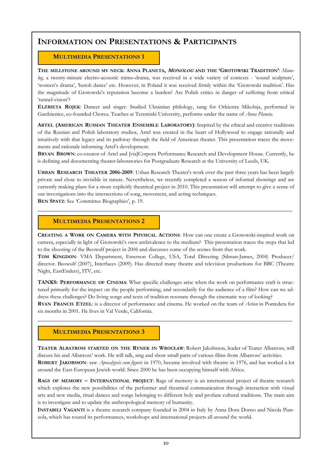## INFORMATION ON PRESENTATIONS & PARTICIPANTS

#### MULTIMEDIA PRESENTATIONS 1

THE MILLSTONE AROUND MY NECK: ANNA PLANETA, MONOLOG AND THE 'GROTOWSKI TRADITION': Monolog, a twenty-minute electro-acoustic mimo-drama, was received in a wide variety of contexts - 'sound sculpture', 'women's drama', 'butoh dance' etc. However, in Poland it was received firmly within the 'Grotowski tradition'. Has the magnitude of Grotowski's reputation become a burden? Are Polish critics in danger of suffering from critical 'tunnel-vision'?

ELŻBIETA ROJEK: Dancer and singer. Studied Ukrainian philology, sung for Orkiestra Mikołaja, performed in Gardzienice, co-founded Chorea. Teaches at Teremiski University, performs under the name of Anna Planeta.

ARTEL (AMERICAN RUSSIAN THEATER ENSEMBLE LABORATORY): Inspired by the ethical and creative traditions of the Russian and Polish laboratory studios, Artel was created in the heart of Hollywood to engage rationally and intuitively with that legacy and its pathway through the field of American theater. This presentation traces the movements and rationale informing Artel's development.

BRYAN BROWN: co-creator of Artel and [via]Corpora Performance Research and Development House. Currently, he is defining and documenting theater-laboratories for Postgraduate Research at the University of Leeds, UK.

URBAN RESEARCH THEATER 2006-2009: Urban Research Theater's work over the past three years has been largely private and close to invisible in nature. Nevertheless, we recently completed a season of informal showings and are currently making plans for a more explicitly theatrical project in 2010. This presentation will attempt to give a sense of our investigations into the intersections of song, movement, and acting techniques.

\_\_\_\_\_\_\_\_\_\_\_\_\_\_\_\_\_\_\_\_\_\_\_\_\_\_\_\_\_\_\_\_\_\_\_\_\_\_\_\_\_\_\_\_\_\_\_\_\_\_\_\_\_\_\_\_\_\_\_\_\_\_\_\_\_\_\_\_\_\_\_\_\_\_\_\_\_\_\_\_\_\_\_

BEN SPATZ: See 'Committee Biographies', p. 19.

#### MULTIMEDIA PRESENTATIONS 2

CREATING A WORK ON CAMERA WITH PHYSICAL ACTIONS: How can one create a Grotowski-inspired work on camera, especially in light of Grotowski's own ambivalence to the medium? This presentation traces the steps that led to the shooting of the Beowulf project in 2006 and discusses some of the scenes from that work.

TOM KINGDON: VMA Department, Emerson College, USA, Total Directing (Silman-James, 2004) Producer/ director. Beowulf (2007), Interfaces (2009). Has directed many theatre and television productions for BBC (Theatre Night, EastEnders), ITV, etc.

TANKS: PERFORMANCE OF CINEMA: What specific challenges arise when the work on performance craft is structured primarily for the impact on the people performing, and secondarily for the audience of a film? How can we address these challenges? Do living songs and texts of tradition resonate through the cinematic way of looking? RYAN FRANCIS ETZEL: is a director of performance and cinema. He worked on the team of Action in Pontedera for

six months in 2001. He lives in Val Verde, California. \_\_\_\_\_\_\_\_\_\_\_\_\_\_\_\_\_\_\_\_\_\_\_\_\_\_\_\_\_\_\_\_\_\_\_\_\_\_\_\_\_\_\_\_\_\_\_\_\_\_\_\_\_\_\_\_\_\_\_\_\_\_\_\_\_\_\_\_\_\_\_\_\_\_\_\_\_\_\_\_\_\_\_

#### MULTIMEDIA PRESENTATIONS 3

TEATER ALBATROSS STARTED ON THE RYNEK IN WROCŁAW: Robert Jakobsson, leader of Teater Albatross, will discuss his and Albatross' work. He will talk, sing and show small parts of various films from Albatross' activities. ROBERT JAKOBSSON: saw Apocalypsis cum figuris in 1970, became involved with theatre in 1976, and has worked a lot around the East-European Jewish world. Since 2000 he has been occupying himself with Africa.

RAGS OF MEMORY – INTERNATIONAL PROJECT: Rags of memory is an international project of theatre research which explores the new possibilities of the performer and theatrical communication through interaction with visual arts and new media, ritual dances and songs belonging to different holy and profane cultural traditions. The main aim is to investigate and to update the anthropological memory of humanity.

INSTABILI VAGANTI is a theatre research company founded in 2004 in Italy by Anna Dora Dorno and Nicola Pianzola, which has toured its performances, workshops and international projects all around the world.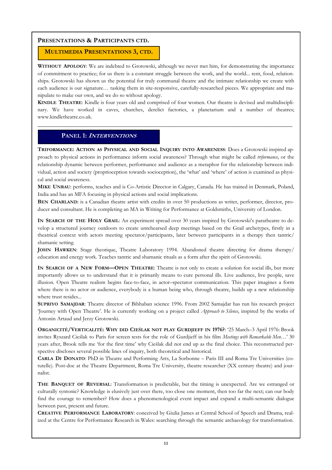#### MULTIMEDIA PRESENTATIONS 3, CTD.

WITHOUT APOLOGY: We are indebted to Grotowski, although we never met him, for demonstrating the importance of commitment to practice; for us there is a constant struggle between the work, and the world... rent, food, relationships. Grotowski has shown us the potential for truly communal theatre and the intimate relationship we create with each audience is our signature… tasking them in site-responsive, carefully-researched pieces. We appropriate and manipulate to make our own, and we do so without apology.

KINDLE THEATRE: Kindle is four years old and comprised of four women. Our theatre is devised and multidisciplinary. We have worked in caves, churches, derelict factories, a planetarium and a number of theatres; www.kindletheatre.co.uk.

\_\_\_\_\_\_\_\_\_\_\_\_\_\_\_\_\_\_\_\_\_\_\_\_\_\_\_\_\_\_\_\_\_\_\_\_\_\_\_\_\_\_\_\_\_\_\_\_\_\_\_\_\_\_\_\_\_\_\_\_\_\_\_\_\_\_\_\_\_\_\_\_\_\_\_\_\_\_\_\_\_\_\_

#### PANEL 1: <sup>I</sup>NTERVENTIONS

TRIFORMANCE: ACTION AS PHYSICAL AND SOCIAL INQUIRY INTO AWARENESS: Does a Grotowski inspired approach to physical actions in performance inform social awareness? Through what might be called *triformance*, or the relationship dynamic between performer, performance and audience as a metaphor for the relationship between individual, action and society (proprioception towards socioception), the 'what' and 'where' of action is examined as physical and social awareness.

MIKE UNRAU: performs, teaches and is Co-Artistic Director in Calgary, Canada. He has trained in Denmark, Poland, India and has an MFA focusing in physical actions and social implications.

BEN CHARLAND: is a Canadian theatre artist with credits in over 50 productions as writer, performer, director, producer and consultant. He is completing an MA in Writing for Performance at Goldsmiths, University of London.

IN SEARCH OF THE HOLY GRAIL: An experiment spread over 30 years inspired by Grotowski's paratheatre to develop a structured journey outdoors to create unrehearsed deep meetings based on the Grail archetypes, firstly in a theatrical context with actors meeting spectator/participants, later between participants in a therapy then tantric/ shamanic setting.

JOHN HAWKEN: Stage theorique, Theatre Laboratory 1994. Abandoned theatre directing for drama therapy/ education and energy work. Teaches tantric and shamanic rituals as a form after the spirit of Grotowski.

IN SEARCH OF A NEW FORM—OPEN THEATRE: Theatre is not only to create a solution for social ills, but more importantly allows us to understand that it is primarily means to cure personal ills. Live audience, live people, save illusion. Open Theatre realism begins face-to-face, in actor–spectator communication. This paper imagines a form where there is no actor or audience, everybody is a human being who, through theatre, builds up a new relationship where trust resides...

SUPRIYO SAMAJDAR: Theatre director of Bibhaban science 1996. From 2002 Samajdar has run his research project 'Journey with Open Theatre'. He is currently working on a project called Approach to Silence, inspired by the works of Antonin Artaud and Jerzy Grotowski.

ORGANICITÉ/VERTICALITÉ: WHY DID CIEŚLAK NOT PLAY GURDJIEFF IN 1976?: '25 March–3 April 1976: Brook invites Ryszard Cieślak to Paris for screen tests for the role of Gurdjieff in his film Meetings with Remarkable Men...' 30 years after, Brook tells me 'for the first time' why Cieślak did not end up as the final choice. This reconstructed perspective discloses several possible lines of inquiry, both theoretical and historical.

CARLA DI DONATO: PhD in Theatre and Performing Arts, La Sorbonne – Paris III and Roma Tre Universities (cotutelle). Post-doc at the Theatre Department, Roma Tre University, theatre researcher (XX century theatre) and journalist.

THE BANQUET OF REVERSAL: Transformation is predictable, but the timing is unexpected. Are we estranged or culturally syntonic? Knowledge is elusively just over there, too close one moment, then too far the next; can our body find the courage to remember? How does a phenomenological event impact and expand a multi-semantic dialogue between past, present and future.

CREATIVE PERFORMANCE LABORATORY: conceived by Giulia James at Central School of Speech and Drama, realized at the Centre for Performance Research in Wales: searching through the semantic archaeology for transformation.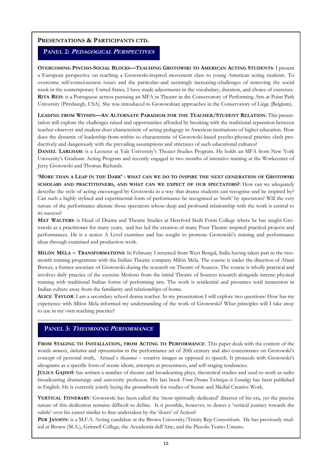#### PANEL 2: PEDAGOGICAL PERSPECTIVES

OVERCOMING PSYCHO-SOCIAL BLOCKS—TEACHING GROTOWSKI TO AMERICAN ACTING STUDENTS: I present a European perspective on teaching a Grotowski-inspired movement class to young American acting students. To overcome self-consciousness issues and the particular–and seemingly increasing–challenges of removing the social mask in the contemporary United States, I have made adjustments in the vocabulary, duration, and choice of exercises. RITA REIS: is a Portuguese actress pursuing an MFA in Theatre in the Conservatory of Performing Arts at Point Park University (Pittsburgh, USA). She was introduced to Grotowskian approaches in the Conservatory of Liège (Belgium).

LEADING FROM WITHIN—AN ALTERNATE PARADIGM FOR THE TEACHER/STUDENT RELATION: This presentation will explore the challenges raised and opportunities afforded by breaking with the traditional separation between teacher-observer and student-doer characteristic of acting pedagogy in American institutions of higher education. How does the dynamic of leadership-from-within so characteristic of Grotowski-based psycho-physical practice clash productively and dangerously with the prevailing assumptions and strictures of such educational cultures?

DANIEL LARLHAM: is a Lecturer at Yale University's Theater Studies Program. He holds an MFA from New York University's Graduate Acting Program and recently engaged in two months of intensive training at the Workcenter of Jerzy Grotowski and Thomas Richards.

'MORE THAN A LEAP IN THE DARK' - WHAT CAN WE DO TO INSPIRE THE NEXT GENERATION OF GROTOWSKI SCHOLARS AND PRACTITIONERS, AND WHAT CAN WE EXPECT OF OUR SPECTATORS?: How can we adequately describe the style of acting encouraged by Grotowski in a way that drama students can recognise and be inspired by? Can such a highly stylised and experimental form of performance be recognised as 'truth' by spectators? Will the very nature of the performance alienate those spectators whose deep and profound relationship with the work is central to its success?

MAT WALTERS: is Head of Drama and Theatre Studies at Hereford Sixth Form College where he has taught Grotowski as a practitioner for many years, and has led the creation of many Poor Theatre inspired practical projects and performances. He is a senior A Level examiner and has sought to promote Grotowski's training and performance ideas through examined and production work.

MILÓN MÉLA – TRANSFORMATIONS: In February I returned from West Bengal, India having taken part in the twomonth training programme with the Indian Theatre company Milón Méla. The course is under the direction of Abani Biswas, a former associate of Grotowski during the research on Theatre of Sources. The course is wholly practical and involves daily practice of the exercise Motions from the initial Theatre of Sources research alongside intense physical training with traditional Indian forms of performing arts. The work is residential and presumes total immersion in Indian culture away from the familiarity and relationships of home.

ALICE TAYLOR: I am a secondary school drama teacher. In my presentation I will explore two questions: How has my experience with Milon Mela informed my understanding of the work of Grotowski? What principles will I take away to use in my own teaching practice?

\_\_\_\_\_\_\_\_\_\_\_\_\_\_\_\_\_\_\_\_\_\_\_\_\_\_\_\_\_\_\_\_\_\_\_\_\_\_\_\_\_\_\_\_\_\_\_\_\_\_\_\_\_\_\_\_\_\_\_\_\_\_\_\_\_\_\_\_\_\_\_\_\_\_\_\_\_\_\_\_\_\_\_\_\_\_\_\_\_\_\_

#### PANEL 3: THEORISING PERFORMANCE

FROM STAGING TO INSTALLATION, FROM ACTING TO PERFORMANCE: This paper deals with the content of the words mimesis, imitation and representation in the performance art of 20th century and also concentrates on Grotowski's concept of personal truth, Artaud's theaomai – creative images as opposed to speech. It proceeds with Grotowski's ideograms as a specific form of scenic idiom, attempts at presentness, and self-staging tendencies.

JÚLIUS GAJDOŠ: has written a number of theatre and broadcasting plays, theoretical studies and used to work as radio broadcasting dramaturge and university professor. His last book From Drama Technique to Scenology has been published in English. He is currently jointly laying the groundwork for studies of Scenic and Medial Creative Work.

VERTICAL ITINERARY: Grotowski has been called the 'most spiritually dedicated' director of his era, yet the precise nature of this dedication remains difficult to define. Is it possible, however, to detect a 'vertical journey towards the subtle' over his career similar to that undertaken by the 'doers' of Action?

PER JANSON: is a M.F.A. Acting candidate at the Brown University/Trinity Rep Consortium. He has previously studied at Brown (M.A.), Grinnell College, the Accademia dell'Arte, and the Piccolo Teatro Umano.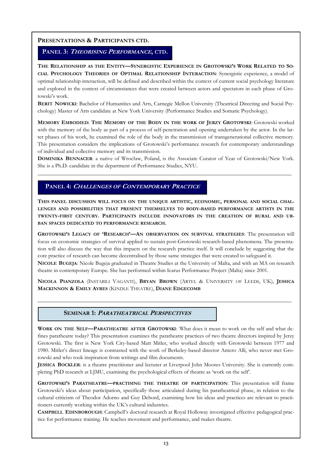#### PANEL 3: THEORISING PERFORMANCE, CTD.

THE RELATIONSHIP AS THE ENTITY—SYNERGISTIC EXPERIENCE IN GROTOWSKI'S WORK RELATED TO SO-CIAL PSYCHOLOGY THEORIES OF OPTIMAL RELATIONSHIP INTERACTION: Synergistic experience, a model of optimal relationship interaction, will be defined and described within the context of current social psychology literature and explored in the context of circumstances that were created between actors and spectators in each phase of Grotowski's work.

BERIT NOWICKI: Bachelor of Humanities and Arts, Carnegie Mellon University (Theatrical Directing and Social Psychology) Master of Arts candidate at New York University (Performance Studies and Somatic Psychology).

MEMORY EMBODIED: THE MEMORY OF THE BODY IN THE WORK OF JERZY GROTOWSKI: Grotowski worked with the memory of the body as part of a process of self-penetration and opening undertaken by the actor. In the latter phases of his work, he examined the role of the body in the transmission of transgenerational collective memory. This presentation considers the implications of Grotowski's performance research for contemporary understandings of individual and collective memory and its transmission.

DOMINIKA BENNACER: a native of Wrocław, Poland, is the Associate Curator of Year of Grotowski/New York. She is a Ph.D. candidate in the department of Performance Studies, NYU.

\_\_\_\_\_\_\_\_\_\_\_\_\_\_\_\_\_\_\_\_\_\_\_\_\_\_\_\_\_\_\_\_\_\_\_\_\_\_\_\_\_\_\_\_\_\_\_\_\_\_\_\_\_\_\_\_\_\_\_\_\_\_\_\_\_\_\_\_\_\_\_\_\_\_\_\_\_\_\_\_\_\_\_\_\_\_\_\_\_\_\_

#### PANEL 4: CHALLENGES OF CONTEMPORARY PRACTICE

THIS PANEL DISCUSSION WILL FOCUS ON THE UNIQUE ARTISTIC, ECONOMIC, PERSONAL AND SOCIAL CHAL-LENGES AND POSSIBILITIES THAT PRESENT THEMSELVES TO BODY-BASED PERFORMANCE ARTISTS IN THE TWENTY-FIRST CENTURY. PARTICIPANTS INCLUDE INNOVATORS IN THE CREATION OF RURAL AND UR-BAN SPACES DEDICATED TO PERFORMANCE RESEARCH.

GROTOWSKI'S LEGACY OF 'RESEARCH'—AN OBSERVATION ON SURVIVAL STRATEGIES: The presentation will focus on economic strategies of survival applied to sustain post-Grotowski research-based phenomena. The presentation will also discuss the way that this impacts on the research practice itself. It will conclude by suggesting that the core practice of research can become decentralised by those same strategies that were created to safeguard it. NICOLE BUGEJA: Nicole Bugeja graduated in Theatre Studies at the University of Malta, and with an MA on research theatre in contemporary Europe. She has performed within Icarus Performance Project (Malta) since 2001.

NICOLA PIANZOLA (INSTABILI VAGANTI), BRYAN BROWN (ARTEL & UNIVERSITY OF LEEDS, UK), JESSICA MACKINNON & EMILY AYRES (KINDLE THEATRE), DIANE EDGECOMB

\_\_\_\_\_\_\_\_\_\_\_\_\_\_\_\_\_\_\_\_\_\_\_\_\_\_\_\_\_\_\_\_\_\_\_\_\_\_\_\_\_\_\_\_\_\_\_\_\_\_\_\_\_\_\_\_\_\_\_\_\_\_\_\_\_\_\_\_\_\_\_\_\_\_\_\_\_\_\_\_\_\_\_\_\_\_\_\_\_\_\_

#### SEMINAR 1: PARATHEATRICAL PERSPECTIVES

WORK ON THE SELF-PARATHEATRE AFTER GROTOWSKI: What does it mean to work on the self and what defines paratheatre today? This presentation examines the paratheatre practices of two theatre directors inspired by Jerzy Grotowski. The first is New York City-based Matt Mitler, who worked directly with Grotowski between 1977 and 1980. Mitler's direct lineage is contrasted with the work of Berkeley-based director Antero Alli, who never met Grotowski and who took inspiration from writings and film documents.

JESSICA BOCKLER: is a theatre practitioner and lecturer at Liverpool John Moores University. She is currently completing PhD research at LJMU, examining the psychological effects of theatre as 'work on the self'.

GROTOWSKI'S PARATHEATRE—PRACTISING THE THEATRE OF PARTICIPATION: This presentation will frame Grotowski's ideas about participation, specifically those articulated during his paratheatrical phase, in relation to the cultural criticism of Theodor Adorno and Guy Debord, examining how his ideas and practices are relevant to practitioners currently working within the UK's cultural industries.

CAMPBELL EDINBOROUGH: Campbell's doctoral research at Royal Holloway investigated effective pedagogical practice for performance training. He teaches movement and performance, and makes theatre.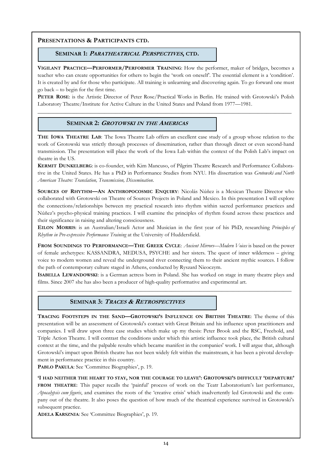#### SEMINAR 1: PARATHEATRICAL PERSPECTIVES, CTD.

VIGILANT PRACTICE—PERFORMER/PERFORMER TRAINING: How the performer, maker of bridges, becomes a teacher who can create opportunities for others to begin the 'work on oneself'. The essential element is a 'condition'. It is created by and for those who participate. All training is unlearning and discovering again. To go forward one must go back – to begin for the first time.

PETER ROSE: is the Artistic Director of Peter Rose/Practical Works in Berlin. He trained with Grotowski's Polish Laboratory Theatre/Institute for Active Culture in the United States and Poland from 1977—1981.

\_\_\_\_\_\_\_\_\_\_\_\_\_\_\_\_\_\_\_\_\_\_\_\_\_\_\_\_\_\_\_\_\_\_\_\_\_\_\_\_\_\_\_\_\_\_\_\_\_\_\_\_\_\_\_\_\_\_\_\_\_\_\_\_\_\_\_\_\_\_\_\_\_\_\_\_\_\_\_\_\_\_\_\_\_\_\_\_\_\_\_

#### SEMINAR 2: GROTOWSKI IN THE AMERICAS

THE IOWA THEATRE LAB: The Iowa Theatre Lab offers an excellent case study of a group whose relation to the work of Grotowski was strictly through processes of dissemination, rather than through direct or even second-hand transmission. The presentation will place the work of the Iowa Lab within the context of the Polish Lab's impact on theatre in the US.

KERMIT DUNKELBERG: is co-founder, with Kim Mancuso, of Pilgrim Theatre Research and Performance Collaborative in the United States. He has a PhD in Performance Studies from NYU. His dissertation was *Grotowski and North* American Theatre: Translation, Transmission, Dissemination.

SOURCES OF RHYTHM—AN ANTHROPOCOSMIC ENOUIRY: Nicolás Núñez is a Mexican Theatre Director who collaborated with Grotowski on Theatre of Sources Projects in Poland and Mexico. In this presentation I will explore the connections/relationships between my practical research into rhythm within sacred performance practices and Núñez's psycho-physical training practices. I will examine the principles of rhythm found across these practices and their significance in raising and altering consciousness.

EILON MORRIS: is an Australian/Israeli Actor and Musician in the first year of his PhD, researching Principles of Rhythm in Pre-expressive Performance Training at the University of Huddersfield.

FROM SOUNDINGS TO PERFORMANCE—THE GREEK CYCLE: Ancient Mirrors—Modern Voices is based on the power of female archetypes: KASSANDRA, MEDUSA, PSYCHE and her sisters. The quest of inner wilderness – giving voice to modern women and reveal the underground river connecting them to their ancient mythic sources. I follow the path of contemporary culture staged in Athens, conducted by Ryszard Nieoczym.

ISABELLA LEWANDOWSKI: is a German actress born in Poland. She has worked on stage in many theatre plays and films. Since 2007 she has also been a producer of high-quality performative and experimental art.

 $\_$  , and the set of the set of the set of the set of the set of the set of the set of the set of the set of the set of the set of the set of the set of the set of the set of the set of the set of the set of the set of th

#### SEMINAR 3: TRACES & RETROSPECTIVES

TRACING FOOTSTEPS IN THE SAND—GROTOWSKI'S INFLUENCE ON BRITISH THEATRE: The theme of this presentation will be an assessment of Grotowski's contact with Great Britain and his influence upon practitioners and companies. I will draw upon three case studies which make up my thesis: Peter Brook and the RSC, Freehold, and Triple Action Theatre. I will contrast the conditions under which this artistic influence took place, the British cultural context at the time, and the palpable results which became manifest in the companies' work. I will argue that, although Grotowski's impact upon British theatre has not been widely felt within the mainstream, it has been a pivotal development in performance practice in this country.

PABLO PAKULA: See 'Committee Biographies', p. 19.

'I HAD NEITHER THE HEART TO STAY, NOR THE COURAGE TO LEAVE': GROTOWSKI'S DIFFICULT 'DEPARTURE' FROM THEATRE: This paper recalls the 'painful' process of work on the Teatr Laboratorium's last performance, Apocalypsis cum figuris, and examines the roots of the 'creative crisis' which inadvertently led Grotowski and the company out of the theatre. It also poses the question of how much of the theatrical experience survived in Grotowski's subsequent practice.

ADELA KARSZNIA: See 'Committee Biographies', p. 19.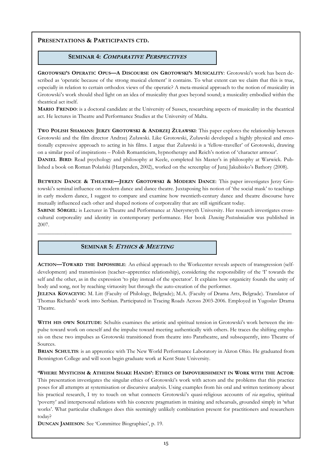#### SEMINAR 4: <sup>C</sup>OMPARATIVE PERSPECTIVES

GROTOWSKI'S OPERATIC OPUS—A DISCOURSE ON GROTOWSKI'S MUSICALITY: Grotowski's work has been described as 'operatic because of the strong musical element' it contains. To what extent can we claim that this is true, especially in relation to certain orthodox views of the operatic? A meta-musical approach to the notion of musicality in Grotowski's work should shed light on an idea of musicality that goes beyond sound; a musicality embodied within the theatrical act itself.

MARIO FRENDO: is a doctoral candidate at the University of Sussex, researching aspects of musicality in the theatrical act. He lectures in Theatre and Performance Studies at the University of Malta.

TWO POLISH SHAMANS: JERZY GROTOWSKI & ANDRZEJ ŻUŁAWSKI: This paper explores the relationship between Grotowski and the film director Andrzej Żuławski. Like Grotowski, Żuławski developed a highly physical and emotionally expressive approach to acting in his films. I argue that Żuławski is a 'fellow-traveller' of Grotowski, drawing on a similar pool of inspirations – Polish Romanticism, hypnotherapy and Reich's notion of 'character armour'.

DANIEL BIRD: Read psychology and philosophy at Keele, completed his Master's in philosophy at Warwick. Published a book on Roman Polański (Harpenden, 2002), worked on the screenplay of Juraj Jakubisko's Bathory (2008).

BETWEEN DANCE & THEATRE—JERZY GROTOWSKI & MODERN DANCE: This paper investigates Jerzy Grotowski's seminal influence on modern dance and dance theatre. Juxtaposing his notion of 'the social mask' to teachings in early modern dance, I suggest to compare and examine how twentieth-century dance and theatre discourse have mutually influenced each other and shaped notions of corporeality that are still significant today.

SABINE SÖRGEL: is Lecturer in Theatre and Performance at Aberystwyth University. Her research investigates crosscultural corporeality and identity in contemporary performance. Her book *Dancing Postcolonialism* was published in 2007.

\_\_\_\_\_\_\_\_\_\_\_\_\_\_\_\_\_\_\_\_\_\_\_\_\_\_\_\_\_\_\_\_\_\_\_\_\_\_\_\_\_\_\_\_\_\_\_\_\_\_\_\_\_\_\_\_\_\_\_\_\_\_\_\_\_\_\_\_\_\_\_\_\_\_\_\_\_\_\_\_\_\_\_\_\_\_\_\_\_\_\_

#### SEMINAR 5: <sup>E</sup>THICS & MEETING

ACTION—TOWARD THE IMPOSSIBLE: An ethical approach to the Workcenter reveals aspects of transgression (selfdevelopment) and transmission (teacher–apprentice relationship), considering the responsibility of the 'I' towards the self and the other, as in the expression 'to play instead of the spectator'. It explains how organicity founds the unity of body and song, not by reaching virtuosity but through the auto-creation of the performer.

JELENA KOVACEVIC: M. Litt (Faculty of Philology, Belgrade); M.A. (Faculty of Drama Arts, Belgrade). Translator of Thomas Richards' work into Serbian. Participated in Tracing Roads Across 2003-2006. Employed in Yugoslav Drama Theatre.

WITH HIS OWN SOLITUDE: Schultis examines the artistic and spiritual tension in Grotowski's work between the impulse toward work on oneself and the impulse toward meeting authentically with others. He traces the shifting emphasis on these two impulses as Grotowski transitioned from theatre into Paratheatre, and subsequently, into Theatre of Sources.

BRIAN SCHULTIS: is an apprentice with The New World Performance Laboratory in Akron Ohio. He graduated from Bennington College and will soon begin graduate work at Kent State University.

'WHERE MYSTICISM & ATHEISM SHAKE HANDS': ETHICS OF IMPOVERISHMENT IN WORK WITH THE ACTOR: This presentation investigates the singular ethics of Grotowski's work with actors and the problems that this practice poses for all attempts at systemisation or discursive analysis. Using examples from his oral and written testimony about his practical research, I try to touch on what connects Grotowski's quasi-religious accounts of *via negativa*, spiritual 'poverty' and interpersonal relations with his concrete pragmatism in training and rehearsals, grounded simply in 'what works'. What particular challenges does this seemingly unlikely combination present for practitioners and researchers today?

DUNCAN JAMIESON: See 'Committee Biographies', p. 19.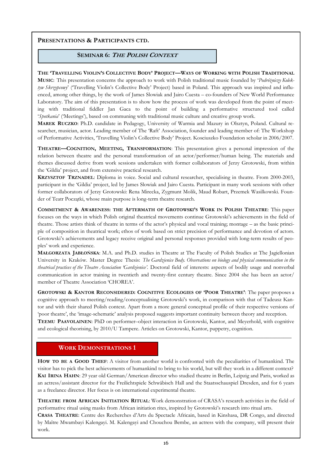#### SEMINAR 6: THE POLISH CONTEXT

#### THE 'TRAVELLING VIOLIN'S COLLECTIVE BODY' PROJECT—WAYS OF WORKING WITH POLISH TRADITIONAL

MUSIC: This presentation concerns the approach to work with Polish traditional music founded by 'Podróżniczy Kolektyw Skrzypcowy' ('Travelling Violin's Collective Body' Project) based in Poland. This approach was inspired and influenced, among other things, by the work of James Slowiak and Jairo Cuesta – co-founders of New World Performance Laboratory. The aim of this presentation is to show how the process of work was developed from the point of meeting with traditional fiddler Jan Gaca to the point of building a performative structured tool called 'Spotkania' ('Meetings'), based on communing with traditional music culture and creative group work.

MAREK RUCZKO: Ph.D. candidate in Pedagogy, University of Warmia and Mazury in Olsztyn, Poland. Cultural researcher, musician, actor. Leading member of The 'Raft' Association, founder and leading member of: The Workshop of Performative Activities, 'Travelling Violin's Collective Body' Project. Kosciuszko Foundation scholar in 2006/2007.

THEATRE—COGNITION, MEETING, TRANSFORMATION: This presentation gives a personal impression of the relation between theatre and the personal transformation of an actor/performer/human being. The materials and themes discussed derive from work sessions undertaken with former collaborators of Jerzy Grotowski, from within the 'Gildia' project, and from extensive practical research.

KRZYSZTOF TRZNADEL: Diploma in voice. Social and cultural researcher, specialising in theatre. From 2000-2003, participant in the 'Gildia' project, led by James Slowiak and Jairo Cuesta. Participant in many work sessions with other former collaborators of Jerzy Grotowski: Rena Mirecka, Zygmunt Molik, Maud Robart, Przemek Wasilkowski. Founder of Teatr Początki, whose main purpose is long-term theatre research.

COMMITMENT & AWARENESS: THE AFTERMATH OF GROTOWSKI'S WORK IN POLISH THEATRE: This paper focuses on the ways in which Polish original theatrical movements continue Grotowski's achievements in the field of theatre. Those artists think of theatre in terms of the actor's physical and vocal training; montage – as the basic principle of composition in theatrical work; ethos of work based on strict precision of performance and devotion of actors. Grotowski's achievements and legacy receive original and personal responses provided with long-term results of peoples' work and experience.

MAŁGORZATA JABŁOŃSKA: M.A. and Ph.D. studies in Theatre at The Faculty of Polish Studies at The Jagiellonian University in Kraków. Master Degree Thesis: The Gardzienice Body. Observations on biology and physical communication in the theatrical practices of the Theatre Association 'Gardzienice'. Doctoral field of interests: aspects of bodily usage and nonverbal communication in actor training in twentieth and twenty-first century theatre. Since 2004 she has been an actor/ member of Theatre Association 'CHOREA'.

GROTOWSKI & KANTOR RECONSIDERED: COGNITIVE ECOLOGIES OF 'POOR THEATRE': The paper proposes a cognitive approach to meeting/reading/conceptualising Grotowski's work, in comparison with that of Tadeusz Kantor and with their shared Polish context. Apart from a more general conceptual profile of their respective versions of 'poor theatre', the 'image-schematic' analysis proposed suggests important continuity between theory and reception. TEEMU PAAVOLAINEN: PhD on performer–object interaction in Grotowski, Kantor, and Meyerhold, with cognitive and ecological theorising, by 2010/U Tampere. Articles on Grotowski, Kantor, puppetry, cognition.

\_\_\_\_\_\_\_\_\_\_\_\_\_\_\_\_\_\_\_\_\_\_\_\_\_\_\_\_\_\_\_\_\_\_\_\_\_\_\_\_\_\_\_\_\_\_\_\_\_\_\_\_\_\_\_\_\_\_\_\_\_\_\_\_\_\_\_\_\_\_\_\_\_\_\_\_\_\_\_\_\_\_\_\_\_\_\_\_\_\_\_

#### WORK DEMONSTRATIONS 1

HOW TO BE A GOOD THIEF: A visitor from another world is confronted with the peculiarities of humankind. The visitor has to pick the best achievements of humankind to bring to his world, but will they work in a different context? KAI IRINA HAHN: 29 year old German/American director who studied theatre in Berlin, Leipzig and Paris, worked as an actress/assistant director for the Freilichtspiele Schwäbisch Hall and the Staatsschauspiel Dresden, and for 6 years as a freelance director. Her focus is on international experimental theatre.

THEATRE FROM AFRICAN INITIATION RITUAL: Work demonstration of CRASA's research activities in the field of performative ritual using masks from African initiation rites, inspired by Grotowski's research into ritual arts.

CRASA THEATRE: Centre des Recherches d'Arts du Spectacle Africain, based in Kinshasa, DR Congo, and directed by Maître Mwambayi Kalengayi. M. Kalengayi and Chouchou Bembe, an actress with the company, will present their work.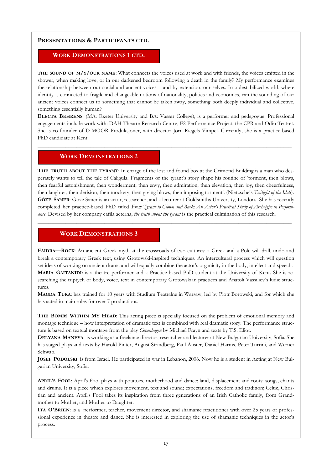#### WORK DEMONSTRATIONS 1 CTD.

THE SOUND OF M/Y/OUR NAME: What connects the voices used at work and with friends, the voices emitted in the shower, when making love, or in our darkened bedroom following a death in the family? My performance examines the relationship between our social and ancient voices – and by extension, our selves. In a destabilized world, where identity is connected to fragile and changeable notions of nationality, politics and economics, can the sounding of our ancient voices connect us to something that cannot be taken away, something both deeply individual and collective, something essentially human?

ELECTA BEHRENS: (MA: Exeter University and BA: Vassar College), is a performer and pedagogue. Professional engagements include work with: DAH Theatre Research Centre, F2 Performance Project, the CPR and Odin Teatret. She is co-founder of D-MOOR Produksjoner, with director Jørn Riegels Vimpel. Currently, she is a practice-based PhD candidate at Kent.

 $\_$  , and the set of the set of the set of the set of the set of the set of the set of the set of the set of the set of the set of the set of the set of the set of the set of the set of the set of the set of the set of th

#### WORK DEMONSTRATIONS 2

THE TRUTH ABOUT THE TYRANT: In charge of the lost and found box at the Grimond Building is a man who desperately wants to tell the tale of Caligula. Fragments of the tyrant's story shape his routine of 'torment, then blows, then fearful astonishment, then wonderment, then envy, then admiration, then elevation, then joy, then cheerfulness, then laughter, then derision, then mockery, then giving blows, then imposing torment'. (Nietzsche's Twilight of the Idols). GÖZE SANER: Göze Saner is an actor, researcher, and a lecturer at Goldsmiths University, London. She has recently completed her practice-based PhD titled From Tyrant to Clown and Back: An Actor's Practical Study of Archetype in Performance. Devised by her company cafila aeterna, the truth about the tyrant is the practical culmination of this research.

 $\_$  , and the set of the set of the set of the set of the set of the set of the set of the set of the set of the set of the set of the set of the set of the set of the set of the set of the set of the set of the set of th

#### WORK DEMONSTRATIONS 3

FAIDRA—ROCK: An ancient Greek myth at the crossroads of two cultures: a Greek and a Pole will drill, undo and break a contemporary Greek text, using Grotowski-inspired techniques. An intercultural process which will question set ideas of working on ancient drama and will equally combine the actor's organicity in the body, intellect and speech. MARIA GAITANIDI: is a theatre performer and a Practice-based PhD student at the University of Kent. She is researching the triptych of body, voice, text in contemporary Grotowskian practices and Anatoli Vassiliev's ludic structures.

MAGDA TUKA: has trained for 10 years with Studium Teatralne in Warsaw, led by Piotr Borowski, and for which she has acted in main roles for over 7 productions.

THE BOMBS WITHIN MY HEAD: This acting piece is specially focused on the problem of emotional memory and montage technique – how interpretation of dramatic text is combined with real dramatic story. The performance structure is based on textual montage from the play *Copenhagen* by Michael Frayn and texts by T.S. Eliot.

DELYANA MANEVA: is working as a freelance director, researcher and lecturer at New Bulgarian University, Sofia. She has staged plays and texts by Harold Pinter, August Strindberg, Paul Auster, Daniel Harms, Peter Turrini, and Werner Schwab.

JOSEF PODOLSKI: is from Israel. He participated in war in Lebanon, 2006. Now he is a student in Acting at New Bulgarian University, Sofia.

APRIL'S FOOL: April's Fool plays with potatoes, motherhood and dance; land, displacement and roots: songs, chants and drums. It is a piece which explores movement, text and sound; expectations, freedom and tradition; Celtic, Christian and ancient. April's Fool takes its inspiration from three generations of an Irish Catholic family, from Grandmother to Mother, and Mother to Daughter.

ITA O'BRIEN: is a performer, teacher, movement director, and shamanic practitioner with over 25 years of professional experience in theatre and dance. She is interested in exploring the use of shamanic techniques in the actor's process.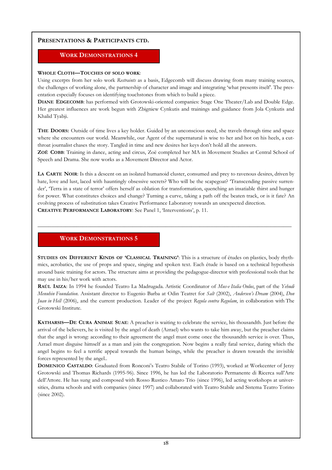#### WORK DEMONSTRATIONS 4

#### WHOLE CLOTH—TOUCHES OF SOLO WORK:

Using excerpts from her solo work Restraints as a basis, Edgecomb will discuss drawing from many training sources, the challenges of working alone, the partnership of character and image and integrating 'what presents itself'. The presentation especially focuses on identifying touchstones from which to build a piece.

DIANE EDGECOMB: has performed with Grotowski-oriented companies: Stage One Theater/Lab and Double Edge. Her greatest influences are work begun with Zbigniew Cynkutis and trainings and guidance from Jola Cynkutis and Khalid Tyabji.

THE DOORS: Outside of time lives a key holder. Guided by an unconscious need, she travels through time and space where she encounters our world. Meanwhile, our Agent of the supernatural is wise to her and hot on his heels, a cutthroat journalist chases the story. Tangled in time and new desires her keys don't hold all the answers.

ZOË COBB: Training in dance, acting and circus, Zoë completed her MA in Movement Studies at Central School of Speech and Drama. She now works as a Movement Director and Actor.

LA CARTE NOIR: Is this a descent on an isolated humanoid cluster, consumed and prey to ravenous desires, driven by hate, love and lust, laced with hauntingly obsessive secrets? Who will be the scapegoat? 'Transcending passive surrender', 'Terra in a state of terror' offers herself as oblation for transformation, quenching an insatiable thirst and hunger for power. What constitutes choices and change? Turning a curve, taking a path off the beaten track, or is it fate? An evolving process of substitution takes Creative Performance Laboratory towards an unexpected direction. CREATIVE PERFORMANCE LABORATORY: See Panel 1, 'Interventions', p. 11.

\_\_\_\_\_\_\_\_\_\_\_\_\_\_\_\_\_\_\_\_\_\_\_\_\_\_\_\_\_\_\_\_\_\_\_\_\_\_\_\_\_\_\_\_\_\_\_\_\_\_\_\_\_\_\_\_\_\_\_\_\_\_\_\_\_\_\_\_\_\_\_\_\_\_\_\_\_\_\_\_\_\_\_\_\_\_\_\_\_\_\_

#### WORK DEMONSTRATIONS 5

STUDIES ON DIFFERENT KINDS OF 'CLASSICAL TRAINING': This is a structure of études on plastics, body rhythmics, acrobatics, the use of props and space, singing and spoken text. Each étude is based on a technical hypothesis around basic training for actors. The structure aims at providing the pedagogue-director with professional tools that he may use in his/her work with actors.

RAÚL IAIZA: In 1994 he founded Teatro La Madrugada. Artistic Coordinator of Mus-e Italia Onlus, part of the Yehudi Menuhin Foundation. Assistant director to Eugenio Barba at Odin Teatret for Salt (2002), Andersen's Dream (2004), Don Juan in Hell (2006), and the current production. Leader of the project Regula contra Regulam, in collaboration with The Grotowski Institute.

KATHARSIS—DE CURA ANIMAE SUAE: A preacher is waiting to celebrate the service, his thousandth. Just before the arrival of the believers, he is visited by the angel of death (Azrael) who wants to take him away, but the preacher claims that the angel is wrong: according to their agreement the angel must come once the thousandth service is over. Thus, Azrael must disguise himself as a man and join the congregation. Now begins a really fatal service, during which the angel begins to feel a terrific appeal towards the human beings, while the preacher is drawn towards the invisible forces represented by the angel..

DOMENICO CASTALDO: Graduated from Ronconi's Teatro Stabile of Torino (1993), worked at Workcenter of Jerzy Grotowski and Thomas Richards (1995-96). Since 1996, he has led the Laboratorio Permanente di Ricerca sull'Arte dell'Attore. He has sung and composed with Rosso Rustico Amaro Trio (since 1996), led acting workshops at universities, drama schools and with companies (since 1997) and collaborated with Teatro Stabile and Sistema Teatro Torino (since 2002).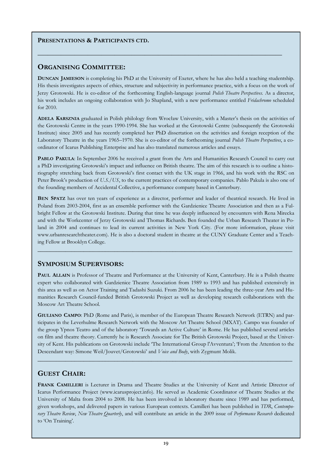#### ORGANISING COMMITTEE:

DUNCAN JAMIESON is completing his PhD at the University of Exeter, where he has also held a teaching studentship. His thesis investigates aspects of ethics, structure and subjectivity in performance practice, with a focus on the work of Jerzy Grotowski. He is co-editor of the forthcoming English-language journal *Polish Theatre Perspectives*. As a director, his work includes an ongoing collaboration with Jo Shapland, with a new performance entitled Fridachromo scheduled for 2010.

\_\_\_\_\_\_\_\_\_\_\_\_\_\_\_\_\_\_\_\_\_\_\_\_\_\_\_\_\_\_\_\_\_\_\_\_\_\_\_\_\_\_\_\_\_\_\_\_\_\_\_\_\_\_\_\_\_\_\_\_\_\_\_\_\_\_\_\_\_\_\_\_\_

ADELA KARSZNIA graduated in Polish philology from Wrocław University, with a Master's thesis on the activities of the Grotowski Centre in the years 1990-1994. She has worked at the Grotowski Centre (subsequently the Grotowski Institute) since 2005 and has recently completed her PhD dissertation on the activities and foreign reception of the Laboratory Theatre in the years 1965–1970. She is co-editor of the forthcoming journal Polish Theatre Perspectives, a coordinator of Icarus Publishing Enterprise and has also translated numerous articles and essays.

PABLO PAKULA: In September 2006 he received a grant from the Arts and Humanities Research Council to carry out a PhD investigating Grotowski's impact and influence on British theatre. The aim of this research is to outline a historiography stretching back from Grotowski's first contact with the UK stage in 1966, and his work with the RSC on Peter Brook's production of U.S./US, to the current practices of contemporary companies. Pablo Pakula is also one of the founding members of Accidental Collective, a performance company based in Canterbury.

BEN SPATZ has over ten years of experience as a director, performer and leader of theatrical research. He lived in Poland from 2003-2004, first as an ensemble performer with the Gardzienice Theatre Association and then as a Fulbright Fellow at the Grotowski Institute. During that time he was deeply influenced by encounters with Rena Mirecka and with the Workcenter of Jerzy Grotowski and Thomas Richards. Ben founded the Urban Research Theater in Poland in 2004 and continues to lead its current activities in New York City. (For more information, please visit www.urbanresearchtheater.com). He is also a doctoral student in theatre at the CUNY Graduate Center and a Teaching Fellow at Brooklyn College.

 $\_$  , and the set of the set of the set of the set of the set of the set of the set of the set of the set of the set of the set of the set of the set of the set of the set of the set of the set of the set of the set of th

#### SYMPOSIUM SUPERVISORS:

PAUL ALLAIN is Professor of Theatre and Performance at the University of Kent, Canterbury. He is a Polish theatre expert who collaborated with Gardzienice Theatre Association from 1989 to 1993 and has published extensively in this area as well as on Actor Training and Tadashi Suzuki. From 2006 he has been leading the three-year Arts and Humanities Research Council-funded British Grotowski Project as well as developing research collaborations with the Moscow Art Theatre School.

GIULIANO CAMPO: PhD (Rome and Paris), is member of the European Theatre Research Network (ETRN) and participates in the Leverhulme Research Network with the Moscow Art Theatre School (MXAT). Campo was founder of the group Ypnos Teatro and of the laboratory 'Towards an Active Culture' in Rome. He has published several articles on film and theatre theory. Currently he is Research Associate for The British Grotowski Project, based at the University of Kent. His publications on Grotowski include 'The International Group l'Avventura'; 'From the Attention to the Descendant way: Simone Weil/Jouvet/Grotowski' and Voice and Body, with Zygmunt Molik.

 $\_$  , and the set of the set of the set of the set of the set of the set of the set of the set of the set of the set of the set of the set of the set of the set of the set of the set of the set of the set of the set of th

#### GUEST CHAIR:

FRANK CAMILLERI is Lecturer in Drama and Theatre Studies at the University of Kent and Artistic Director of Icarus Performance Project (www.icarusproject.info). He served as Academic Coordinator of Theatre Studies at the University of Malta from 2004 to 2008. He has been involved in laboratory theatre since 1989 and has performed, given workshops, and delivered papers in various European contexts. Camilleri has been published in TDR, Contemporary Theatre Review, New Theatre Quarterly, and will contribute an article in the 2009 issue of Performance Research dedicated to 'On Training'.